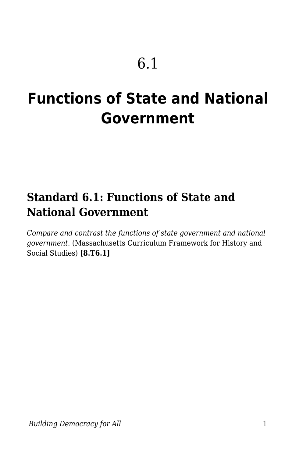# **Functions of State and National Government**

## **Standard 6.1: Functions of State and National Government**

*Compare and contrast the functions of state government and national government.* (Massachusetts Curriculum Framework for History and Social Studies) **[8.T6.1]**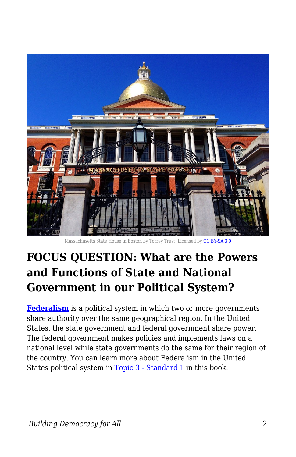

Massachusetts State House in Boston by Torrey Trust, Licensed by [CC BY-SA 3.0](http://creativecommons.org/licenses/by-sa/3.0/)

## **FOCUS QUESTION: What are the Powers and Functions of State and National Government in our Political System?**

**[Federalism](https://www.historyonthenet.com/what-is-federalism)** is a political system in which two or more governments share authority over the same geographical region. In the United States, the state government and federal government share power. The federal government makes policies and implements laws on a national level while state governments do the same for their region of the country. You can learn more about Federalism in the United States political system in [Topic 3 - Standard 1](https://edtechbooks.org/democracy/branchesofgov) in this book.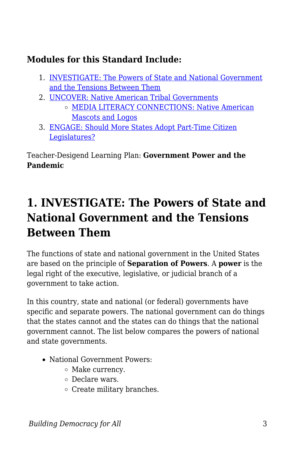### **Modules for this Standard Include:**

- 1. [INVESTIGATE: The Powers of State and National Government](https://edtechbooks.org/democracy/functionsofstate#h2_gKxIG) [and the Tensions Between Them](https://edtechbooks.org/democracy/functionsofstate#h2_gKxIG)
- 2. [UNCOVER: Native American Tribal Governments](https://edtechbooks.org/democracy/functionsofstate#h2_bDhmx) [MEDIA LITERACY CONNECTIONS: Native American](https://edtechbooks.org/democracy/functionsofstate#h3_Wzco) [Mascots and Logos](https://edtechbooks.org/democracy/functionsofstate#h3_Wzco)
- 3. [ENGAGE: Should More States Adopt Part-Time Citizen](https://edtechbooks.org/democracy/functionsofstate#h2_ZWmGS) [Legislatures?](https://edtechbooks.org/democracy/functionsofstate#h2_ZWmGS)

Teacher-Desigend Learning Plan: **Government Power and the Pandemic**

## **1. INVESTIGATE: The Powers of State and National Government and the Tensions Between Them**

The functions of state and national government in the United States are based on the principle of **Separation of Powers**. A **power** is the legal right of the executive, legislative, or judicial branch of a government to take action.

In this country, state and national (or federal) governments have specific and separate powers. The national government can do things that the states cannot and the states can do things that the national government cannot. The list below compares the powers of national and state governments.

- National Government Powers:
	- $\circ$  Make currency.
	- Declare wars.
	- $\circ$  Create military branches.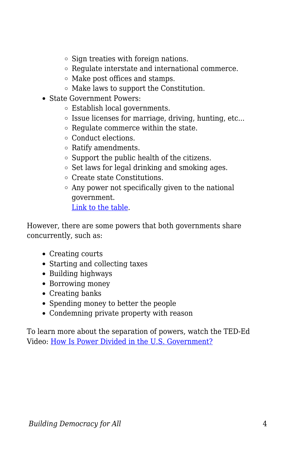- $\circ$  Sign treaties with foreign nations.
- Regulate interstate and international commerce.
- Make post offices and stamps.
- Make laws to support the Constitution.
- State Government Powers:
	- Establish local governments.
	- $\circ$  Issue licenses for marriage, driving, hunting, etc...
	- $\circ$  Regulate commerce within the state.
	- Conduct elections.
	- Ratify amendments.
	- $\circ$  Support the public health of the citizens.
	- $\circ$  Set laws for legal drinking and smoking ages.
	- Create state Constitutions.
	- Any power not specifically given to the national government.

[Link to the table](https://docs.google.com/document/d/1EL_caghkr5KJQFqrx76NmXqcpnyxsMSqAIHsWk1DWEk/edit#heading=h.4gq719qa7623).

However, there are some powers that both governments share concurrently, such as:

- Creating courts
- Starting and collecting taxes
- Building highways
- Borrowing money
- Creating banks
- Spending money to better the people
- Condemning private property with reason

To learn more about the separation of powers, watch the TED-Ed Video: [How Is Power Divided in the U.S. Government?](https://www.youtube.com/watch?v=HuFR5XBYLfU)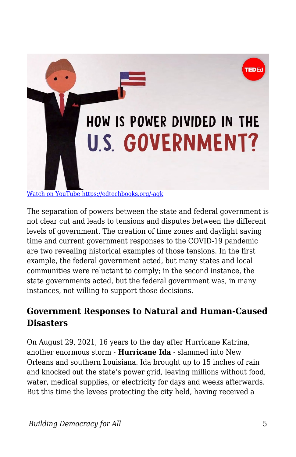

The separation of powers between the state and federal government is not clear cut and leads to tensions and disputes between the different levels of government. The creation of time zones and daylight saving time and current government responses to the COVID-19 pandemic are two revealing historical examples of those tensions. In the first example, the federal government acted, but many states and local communities were reluctant to comply; in the second instance, the state governments acted, but the federal government was, in many instances, not willing to support those decisions.

## **Government Responses to Natural and Human-Caused Disasters**

On August 29, 2021, 16 years to the day after Hurricane Katrina, another enormous storm - **Hurricane Ida** - slammed into New Orleans and southern Louisiana. Ida brought up to 15 inches of rain and knocked out the state's power grid, leaving millions without food, water, medical supplies, or electricity for days and weeks afterwards. But this time the levees protecting the city held, having received a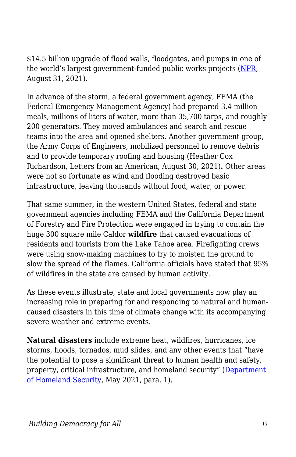\$14.5 billion upgrade of flood walls, floodgates, and pumps in one of the world's largest government-funded public works projects ([NPR,](https://www.npr.org/2021/08/31/1032804634/new-orleans-levees-hurricane-ida-flooding) August 31, 2021).

In advance of the storm, a federal government agency, FEMA (the Federal Emergency Management Agency) had prepared 3.4 million meals, millions of liters of water, more than 35,700 tarps, and roughly 200 generators. They moved ambulances and search and rescue teams into the area and opened shelters. Another government group, the Army Corps of Engineers, mobilized personnel to remove debris and to provide temporary roofing and housing (Heather Cox Richardson, Letters from an American, August 30, 2021)**.** Other areas were not so fortunate as wind and flooding destroyed basic infrastructure, leaving thousands without food, water, or power.

That same summer, in the western United States, federal and state government agencies including FEMA and the California Department of Forestry and Fire Protection were engaged in trying to contain the huge 300 square mile Caldor **wildfire** that caused evacuations of residents and tourists from the Lake Tahoe area. Firefighting crews were using snow-making machines to try to moisten the ground to slow the spread of the flames. California officials have stated that 95% of wildfires in the state are caused by human activity.

As these events illustrate, state and local governments now play an increasing role in preparing for and responding to natural and humancaused disasters in this time of climate change with its accompanying severe weather and extreme events.

**Natural disasters** include extreme heat, wildfires, hurricanes, ice storms, floods, tornados, mud slides, and any other events that "have the potential to pose a significant threat to human health and safety, property, critical infrastructure, and homeland security" [\(Department](https://www.dhs.gov/natural-disasters) [of Homeland Security,](https://www.dhs.gov/natural-disasters) May 2021, para. 1).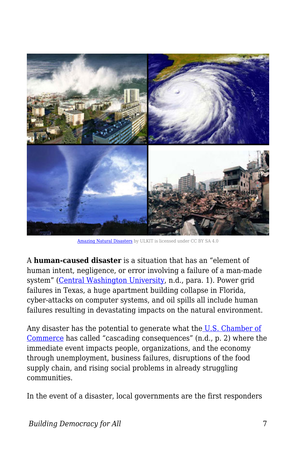

[Amazing Natural Disasters](https://commons.wikimedia.org/wiki/File:Amazing-natural-disasters.jpg) by ULKIT is licensed under CC BY SA 4.0

A **human-caused disaster** is a situation that has an "element of human intent, negligence, or error involving a failure of a man-made system" ([Central Washington University](https://www.cwu.edu/public-safety/human-caused-disasters), n.d., para. 1). Power grid failures in Texas, a huge apartment building collapse in Florida, cyber-attacks on computer systems, and oil spills all include human failures resulting in devastating impacts on the natural environment.

Any disaster has the potential to generate what the [U.S. Chamber of](https://www.uschamberfoundation.org/sites/default/files/publication/ccc/A%20Critical%20Role%20-%20Ten%20Policies%20Needed%20for%20Community%20Disaster%20Recovery.pdf) [Commerce](https://www.uschamberfoundation.org/sites/default/files/publication/ccc/A%20Critical%20Role%20-%20Ten%20Policies%20Needed%20for%20Community%20Disaster%20Recovery.pdf) has called "cascading consequences" (n.d., p. 2) where the immediate event impacts people, organizations, and the economy through unemployment, business failures, disruptions of the food supply chain, and rising social problems in already struggling communities.

In the event of a disaster, local governments are the first responders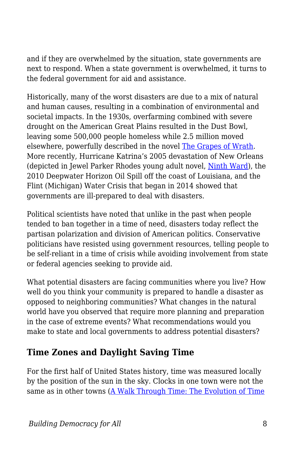and if they are overwhelmed by the situation, state governments are next to respond. When a state government is overwhelmed, it turns to the federal government for aid and assistance.

Historically, many of the worst disasters are due to a mix of natural and human causes, resulting in a combination of environmental and societal impacts. In the 1930s, overfarming combined with severe drought on the American Great Plains resulted in the Dust Bowl, leaving some 500,000 people homeless while 2.5 million moved elsewhere, powerfully described in the novel [The Grapes of Wrath](http://resourcesforenglishteachers.pbworks.com/w/page/126246863/The%20Grapes%20of%20Wrath%20by%20John%20Steinbeck). More recently, Hurricane Katrina's 2005 devastation of New Orleans (depicted in Jewel Parker Rhodes young adult novel, [Ninth Ward\)](http://resourcesforenglishteachers.pbworks.com/w/page/126265601/Ninth%20Ward%20by%20Jewell%20Parker%20Rhodes), the 2010 Deepwater Horizon Oil Spill off the coast of Louisiana, and the Flint (Michigan) Water Crisis that began in 2014 showed that governments are ill-prepared to deal with disasters.

Political scientists have noted that unlike in the past when people tended to ban together in a time of need, disasters today reflect the partisan polarization and division of American politics. Conservative politicians have resisted using government resources, telling people to be self-reliant in a time of crisis while avoiding involvement from state or federal agencies seeking to provide aid.

What potential disasters are facing communities where you live? How well do you think your community is prepared to handle a disaster as opposed to neighboring communities? What changes in the natural world have you observed that require more planning and preparation in the case of extreme events? What recommendations would you make to state and local governments to address potential disasters?

### **Time Zones and Daylight Saving Time**

For the first half of United States history, time was measured locally by the position of the sun in the sky. Clocks in one town were not the same as in other towns ([A Walk Through Time: The Evolution of Time](https://www.nist.gov/pml/time-and-frequency-division/popular-links/walk-through-time)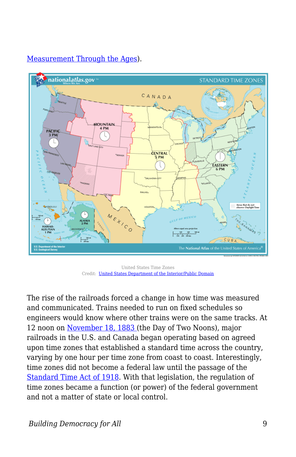

#### [Measurement Through the Ages\)](https://www.nist.gov/pml/time-and-frequency-division/popular-links/walk-through-time).

United States Time Zones Credit: [United States Department of the Interior/Public Domain](https://commons.wikimedia.org/w/index.php?sort=relevance&search=time+zones+united+states&title=Special:Search&profile=advanced&fulltext=1&advancedSearch-current=%7B%7D&ns0=1&ns6=1&ns12=1&ns14=1&ns100=1&ns106=1#/media/File:National-atlas-us-time-zones.png)

The rise of the railroads forced a change in how time was measured and communicated. Trains needed to run on fixed schedules so engineers would know where other trains were on the same tracks. At 12 noon on [November 18, 1883](http://historymatters.gmu.edu/d/5748/) (the Day of Two Noons), major railroads in the U.S. and Canada began operating based on agreed upon time zones that established a standard time across the country, varying by one hour per time zone from coast to coast. Interestingly, time zones did not become a federal law until the passage of the [Standard Time Act of 1918](https://www.loc.gov/law/help/statutes-at-large/65th-congress/session-2/c65s2ch24.pdf). With that legislation, the regulation of time zones became a function (or power) of the federal government and not a matter of state or local control.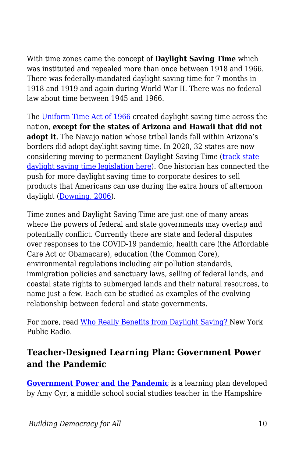With time zones came the concept of **Daylight Saving Time** which was instituted and repealed more than once between 1918 and 1966. There was federally-mandated daylight saving time for 7 months in 1918 and 1919 and again during World War II. There was no federal law about time between 1945 and 1966.

The [Uniform Time Act of 1966](https://www.byrdcenter.org/byrd-center-blog/the-uniform-time-act-of-1966) created daylight saving time across the nation, **except for the states of Arizona and Hawaii that did not adopt it**. The Navajo nation whose tribal lands fall within Arizona's borders did adopt daylight saving time. In 2020, 32 states are now considering moving to permanent Daylight Saving Time ([track state](https://www.ncsl.org/research/transportation/daylight-savings-time-state-legislation.aspx#/) [daylight saving time legislation here\)](https://www.ncsl.org/research/transportation/daylight-savings-time-state-legislation.aspx#/). One historian has connected the push for more daylight saving time to corporate desires to sell products that Americans can use during the extra hours of afternoon daylight ([Downing, 2006\)](https://www.amazon.com/Spring-Forward-Annual-Madness-Daylight/dp/1593761066).

Time zones and Daylight Saving Time are just one of many areas where the powers of federal and state governments may overlap and potentially conflict. Currently there are state and federal disputes over responses to the COVID-19 pandemic, health care (the Affordable Care Act or Obamacare), education (the Common Core), environmental regulations including air pollution standards, immigration policies and sanctuary laws, selling of federal lands, and coastal state rights to submerged lands and their natural resources, to name just a few. Each can be studied as examples of the evolving relationship between federal and state governments.

For more, read [Who Really Benefits from Daylight Saving?](https://www.wnycstudios.org/podcasts/takeaway/segments/who-really-benefits-daylight-savings) New York Public Radio.

### **Teacher-Designed Learning Plan: Government Power and the Pandemic**

**[Government Power and the Pandemic](https://docs.google.com/document/d/1zgDR5S0uKjY13hoGDdKMzWi2wATJ5XfM7O1cbbvG7Qs/edit?usp=sharing)** is a learning plan developed by Amy Cyr, a middle school social studies teacher in the Hampshire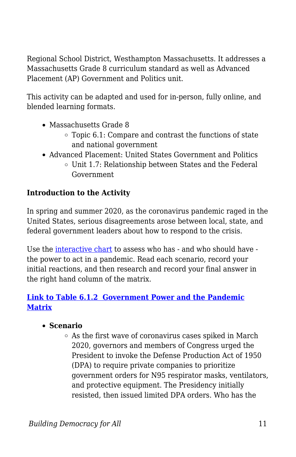Regional School District, Westhampton Massachusetts. It addresses a Massachusetts Grade 8 curriculum standard as well as Advanced Placement (AP) Government and Politics unit.

This activity can be adapted and used for in-person, fully online, and blended learning formats.

- Massachusetts Grade 8
	- $\circ$  Topic 6.1: Compare and contrast the functions of state and national government
- Advanced Placement: United States Government and Politics
	- Unit 1.7: Relationship between States and the Federal Government

### **Introduction to the Activity**

In spring and summer 2020, as the coronavirus pandemic raged in the United States, serious disagreements arose between local, state, and federal government leaders about how to respond to the crisis.

Use the [interactive chart](https://docs.google.com/document/d/1zgDR5S0uKjY13hoGDdKMzWi2wATJ5XfM7O1cbbvG7Qs/edit?usp=sharing) to assess who has - and who should have the power to act in a pandemic. Read each scenario, record your initial reactions, and then research and record your final answer in the right hand column of the matrix.

### **[Link to Table 6.1.2 Government Power and the Pandemic](https://docs.google.com/document/d/1EL_caghkr5KJQFqrx76NmXqcpnyxsMSqAIHsWk1DWEk/edit#heading=h.se5zffkdejh5) [Matrix](https://docs.google.com/document/d/1EL_caghkr5KJQFqrx76NmXqcpnyxsMSqAIHsWk1DWEk/edit#heading=h.se5zffkdejh5)**

#### **Scenario**

As the first wave of coronavirus cases spiked in March 2020, governors and members of Congress urged the President to invoke the Defense Production Act of 1950 (DPA) to require private companies to prioritize government orders for N95 respirator masks, ventilators, and protective equipment. The Presidency initially resisted, then issued limited DPA orders. Who has the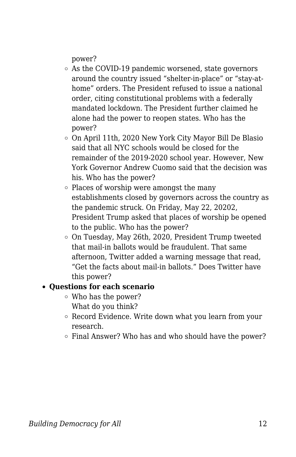power?

- As the COVID-19 pandemic worsened, state governors around the country issued "shelter-in-place" or "stay-athome" orders. The President refused to issue a national order, citing constitutional problems with a federally mandated lockdown. The President further claimed he alone had the power to reopen states. Who has the power?
- On April 11th, 2020 New York City Mayor Bill De Blasio said that all NYC schools would be closed for the remainder of the 2019-2020 school year. However, New York Governor Andrew Cuomo said that the decision was his. Who has the power?
- Places of worship were amongst the many establishments closed by governors across the country as the pandemic struck. On Friday, May 22, 20202, President Trump asked that places of worship be opened to the public. Who has the power?
- On Tuesday, May 26th, 2020, President Trump tweeted that mail-in ballots would be fraudulent. That same afternoon, Twitter added a warning message that read, "Get the facts about mail-in ballots." Does Twitter have this power?

#### **Questions for each scenario**

- Who has the power? What do you think?
- Record Evidence. Write down what you learn from your research.
- Final Answer? Who has and who should have the power?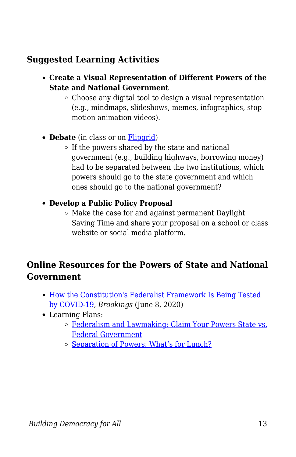### **Suggested Learning Activities**

- **Create a Visual Representation of Different Powers of the State and National Government**
	- $\circ$  Choose any digital tool to design a visual representation (e.g., mindmaps, slideshows, memes, infographics, stop motion animation videos).
- **Debate** (in class or on [Flipgrid\)](http://www.flipgrid.com)
	- $\circ$  If the powers shared by the state and national government (e.g., building highways, borrowing money) had to be separated between the two institutions, which powers should go to the state government and which ones should go to the national government?
- **Develop a Public Policy Proposal**
	- $\circ$  Make the case for and against permanent Daylight Saving Time and share your proposal on a school or class website or social media platform.

### **Online Resources for the Powers of State and National Government**

- [How the Constitution's Federalist Framework Is Being Tested](https://www.brookings.edu/blog/fixgov/2020/06/08/how-the-constitutions-federalist-framework-is-being-tested-by-covid-19/?utm_campaign=brookings-comm&utm_medium=email&utm_content=89883194&utm_source=hs_email) [by COVID-19,](https://www.brookings.edu/blog/fixgov/2020/06/08/how-the-constitutions-federalist-framework-is-being-tested-by-covid-19/?utm_campaign=brookings-comm&utm_medium=email&utm_content=89883194&utm_source=hs_email) *Brookings* (June 8, 2020)
- Learning Plans:
	- o [Federalism and Lawmaking: Claim Your Powers State vs.](https://teachingcivics.org/lesson/federalism-and-lawmaking-claim-your-powers-state-v-federal-government/) [Federal Government](https://teachingcivics.org/lesson/federalism-and-lawmaking-claim-your-powers-state-v-federal-government/)
	- o [Separation of Powers: What's for Lunch?](https://usgovunit5.weebly.com/lesson-9-separation-of-powers-whats-for-lunch.html)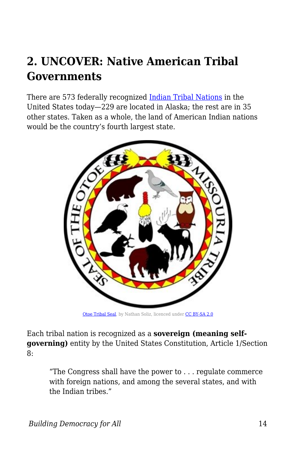## **2. UNCOVER: Native American Tribal Governments**

There are 573 federally recognized [Indian Tribal Nations](http://www.ncsl.org/research/state-tribal-institute/list-of-federal-and-state-recognized-tribes.aspx) in the United States today—229 are located in Alaska; the rest are in 35 other states. Taken as a whole, the land of American Indian nations would be the country's fourth largest state.



[Otoe Tribal Seal](https://upload.wikimedia.org/wikipedia/commons/2/24/Otoe_Tribal_Seal.jpg), by Nathan Soliz, licenced under [CC BY-SA 2.0](https://creativecommons.org/licenses/by-sa/2.0/deed.en)

Each tribal nation is recognized as a **sovereign (meaning selfgoverning)** entity by the United States Constitution, Article 1/Section 8:

"The Congress shall have the power to . . . regulate commerce with foreign nations, and among the several states, and with the Indian tribes."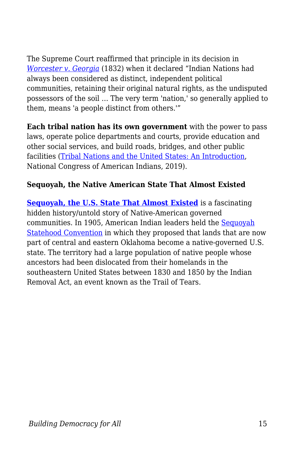The Supreme Court reaffirmed that principle in its decision in *[Worcester v. Georgia](https://www.nlm.nih.gov/nativevoices/timeline/283.html)* (1832) when it declared "Indian Nations had always been considered as distinct, independent political communities, retaining their original natural rights, as the undisputed possessors of the soil … The very term 'nation,' so generally applied to them, means 'a people distinct from others.'"

**Each tribal nation has its own government** with the power to pass laws, operate police departments and courts, provide education and other social services, and build roads, bridges, and other public facilities [\(Tribal Nations and the United States: An Introduction,](http://www.ncai.org/about-tribes) National Congress of American Indians, 2019).

#### **Sequoyah, the Native American State That Almost Existed**

**[Sequoyah, the U.S. State That Almost Existed](https://www.nationalgeographic.com/history/reference/united-states-history/sequoyah-american-state-almost-existed/?cmpid=org=ngp::mc=crm-email::src=ngp::cmp=editorial::add=SpecialEdition_Escape_20200902&rid=01A7816C3CDDEB93BB02EF4DFEF8F80B)** is a fascinating hidden history/untold story of Native-American governed communities. In 1905, American Indian leaders held the [Sequoyah](https://www.okhistory.org/publications/enc/entry.php?entry=SE021) [Statehood Convention](https://www.okhistory.org/publications/enc/entry.php?entry=SE021) in which they proposed that lands that are now part of central and eastern Oklahoma become a native-governed U.S. state. The territory had a large population of native people whose ancestors had been dislocated from their homelands in the southeastern United States between 1830 and 1850 by the Indian Removal Act, an event known as the Trail of Tears.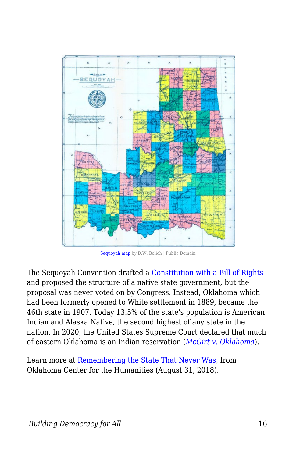

[Sequoyah map](https://commons.wikimedia.org/wiki/File:Sequoyah_map.jpg) by D.W. Bolich | Public Domain

The Sequoyah Convention drafted a [Constitution with a Bill of Rights](http://sites.rootsweb.com/~oktttp/IT/sequoyah/Constitution.htm) and proposed the structure of a native state government, but the proposal was never voted on by Congress. Instead, Oklahoma which had been formerly opened to White settlement in 1889, became the 46th state in 1907. Today 13.5% of the state's population is American Indian and Alaska Native, the second highest of any state in the nation. In 2020, the United States Supreme Court declared that much of eastern Oklahoma is an Indian reservation (*[McGirt v. Oklahoma](https://www.oyez.org/cases/2019/18-9526)*).

Learn more at [Remembering the State That Never Was](https://humanities.utulsa.edu/remembering-the-state-that-never-was/), from Oklahoma Center for the Humanities (August 31, 2018).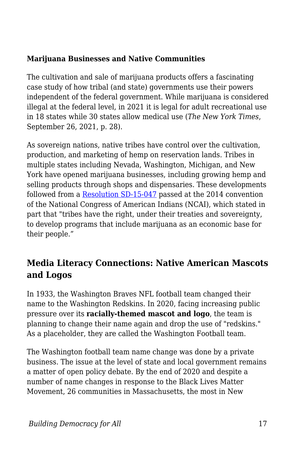#### **Marijuana Businesses and Native Communities**

The cultivation and sale of marijuana products offers a fascinating case study of how tribal (and state) governments use their powers independent of the federal government. While marijuana is considered illegal at the federal level, in 2021 it is legal for adult recreational use in 18 states while 30 states allow medical use (*The New York Times*, September 26, 2021, p. 28).

As sovereign nations, native tribes have control over the cultivation, production, and marketing of hemp on reservation lands. Tribes in multiple states including Nevada, Washington, Michigan, and New York have opened marijuana businesses, including growing hemp and selling products through shops and dispensaries. These developments followed from a [Resolution SD-15-047](https://www.ncai.org/attachments/Resolution_exFmbjTpJKdWwCXpuSVMzbjUuBlOEwOWOVOPMEXLsxrysHoumey_SD-15-047.pdf) passed at the 2014 convention of the National Congress of American Indians (NCAI), which stated in part that "tribes have the right, under their treaties and sovereignty, to develop programs that include marijuana as an economic base for their people."

### **Media Literacy Connections: Native American Mascots and Logos**

In 1933, the Washington Braves NFL football team changed their name to the Washington Redskins. In 2020, facing increasing public pressure over its **racially-themed mascot and logo**, the team is planning to change their name again and drop the use of "redskins." As a placeholder, they are called the Washington Football team.

The Washington football team name change was done by a private business. The issue at the level of state and local government remains a matter of open policy debate. By the end of 2020 and despite a number of name changes in response to the Black Lives Matter Movement, 26 communities in Massachusetts, the most in New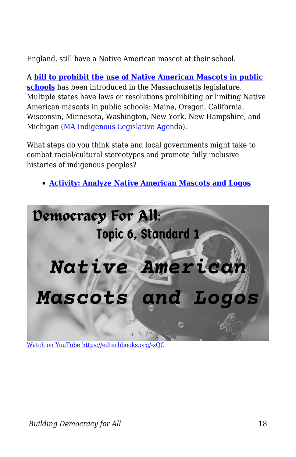England, still have a Native American mascot at their school.

A **[bill to prohibit the use of Native American Mascots in public](https://malegislature.gov/Bills/191/SD937) [schools](https://malegislature.gov/Bills/191/SD937)** has been introduced in the Massachusetts legislature. Multiple states have laws or resolutions prohibiting or limiting Native American mascots in public schools: Maine, Oregon, California, Wisconsin, Minnesota, Washington, New York, New Hampshire, and Michigan [\(MA Indigenous Legislative Agenda](http://maindigenousagenda.org/native-mascots/)).

What steps do you think state and local governments might take to combat racial/cultural stereotypes and promote fully inclusive histories of indigenous peoples?

**[Activity: Analyze Native American Mascots and Logos](https://edtechbooks.org/mediaandciviclearning/native_mascots)**



[Watch on YouTube https://edtechbooks.org/-zQC](https://www.youtube.com/embed/zS5SwKFwbU8?autoplay=1&rel=0&showinfo=0&modestbranding=1)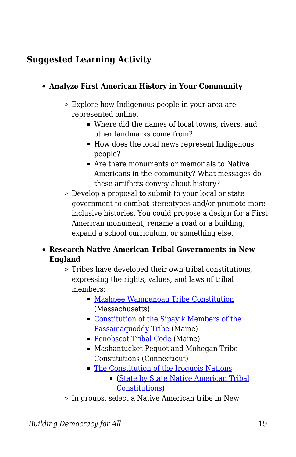## **Suggested Learning Activity**

### **Analyze First American History in Your Community**

- Explore how Indigenous people in your area are represented online.
	- Where did the names of local towns, rivers, and other landmarks come from?
	- How does the local news represent Indigenous people?
	- Are there monuments or memorials to Native Americans in the community? What messages do these artifacts convey about history?
- $\circ$  Develop a proposal to submit to your local or state government to combat stereotypes and/or promote more inclusive histories. You could propose a design for a First American monument, rename a road or a building, expand a school curriculum, or something else.

### **Research Native American Tribal Governments in New England**

- $\circ$  Tribes have developed their own tribal constitutions, expressing the rights, values, and laws of tribal members:
	- **[Mashpee Wampanoag Tribe Constitution](https://mashpeewampanoagtribe-nsn.gov/law-and-policies)** (Massachusetts)
	- [Constitution of the Sipayik Members of the](https://narf.org/nill/constitutions/passamaquoddy/index.html) [Passamaquoddy Tribe](https://narf.org/nill/constitutions/passamaquoddy/index.html) (Maine)
	- [Penobscot Tribal Code](https://www.narf.org/nill/codes/penobscot/index.html) (Maine)
	- Mashantucket Pequot and Mohegan Tribe Constitutions (Connecticut)
	- [The Constitution of the Iroquois Nations](https://www.narf.org/nill/codes/penobscot/index.html)
		- ([State by State Native American Tribal](http://www.tribal-institute.org/lists/constitutions.htm) [Constitutions\)](http://www.tribal-institute.org/lists/constitutions.htm)
- $\circ$  In groups, select a Native American tribe in New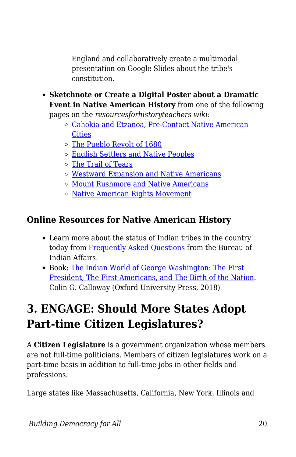England and collaboratively create a multimodal presentation on Google Slides about the tribe's constitution.

- **Sketchnote or Create a Digital Poster about a Dramatic Event in Native American History** from one of the following pages on the *resourcesforhistoryteachers wiki*:
	- [Cahokia and Etzanoa, Pre-Contact Native American](http://resourcesforhistoryteachers.pbworks.com/w/page/123879546/Cahokia%20and%20Etzanoa%2C%20Pre-Contact%20Native%20American%20Cities) **[Cities](http://resourcesforhistoryteachers.pbworks.com/w/page/123879546/Cahokia%20and%20Etzanoa%2C%20Pre-Contact%20Native%20American%20Cities)**
	- [The Pueblo Revolt of 1680](http://resourcesforhistoryteachers.pbworks.com/w/page/123901800/The%20Pueblo%20Revolt%20of%201680)
	- [English Settlers and Native Peoples](http://resourcesforhistoryteachers.pbworks.com/w/page/124016760/English%20Settlers%20and%20Native%20Peoples)
	- [The Trail of Tears](http://resourcesforhistoryteachers.pbworks.com/w/page/123902535/The%20Trail%20of%20Tears)
	- [Westward Expansion and Native Americans](http://resourcesforhistoryteachers.pbworks.com/w/page/125353106/Westward%20Expansion%20and%20Native%20Americans)
	- [Mount Rushmore and Native Americans](http://resourcesforhistoryteachers.pbworks.com/w/page/130493715/Mount%20Rushmore%20and%20Native%20Americans)
	- o [Native American Rights Movement](http://resourcesforhistoryteachers.pbworks.com/w/page/128203098/Native%20American%20Rights%20Movement)

## **Online Resources for Native American History**

- Learn more about the status of Indian tribes in the country today from [Frequently Asked Questions](https://www.bia.gov/frequently-asked-questions) from the Bureau of Indian Affairs.
- Book: [The Indian World of George Washington: The First](https://www.amazon.com/Indian-World-George-Washington-President/dp/0190652160/ref=sr_1_1?crid=3LGJTZRNTTJCY&keywords=the+indian+world+of+george+washington+by+colin+g.+calloway&qid=1555693567&s=books&sprefix=the+Indian+world+of%2Caps%2C126&sr=1-1) [President, The First Americans, and The Birth of the Nation.](https://www.amazon.com/Indian-World-George-Washington-President/dp/0190652160/ref=sr_1_1?crid=3LGJTZRNTTJCY&keywords=the+indian+world+of+george+washington+by+colin+g.+calloway&qid=1555693567&s=books&sprefix=the+Indian+world+of%2Caps%2C126&sr=1-1) Colin G. Calloway (Oxford University Press, 2018)

## **3. ENGAGE: Should More States Adopt Part-time Citizen Legislatures?**

A **Citizen Legislature** is a government organization whose members are not full-time politicians. Members of citizen legislatures work on a part-time basis in addition to full-time jobs in other fields and professions.

Large states like Massachusetts, California, New York, Illinois and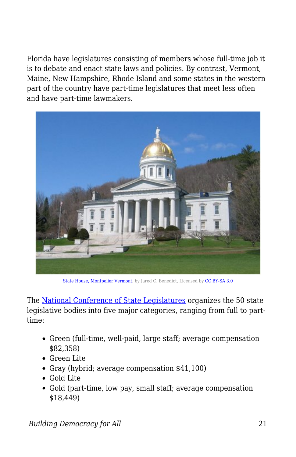Florida have legislatures consisting of members whose full-time job it is to debate and enact state laws and policies. By contrast, Vermont, Maine, New Hampshire, Rhode Island and some states in the western part of the country have part-time legislatures that meet less often and have part-time lawmakers.



[State House, Montpelier Vermont,](https://commons.wikimedia.org/wiki/File:Montpelier_vermont_state_house_20.jpg#/media/File:Montpelier_vermont_state_house_20.jpg) by Jared C. Benedict, Licensed by [CC BY-SA 3.0](http://creativecommons.org/licenses/by-sa/3.0/)

The [National Conference of State Legislatures](https://www.ncsl.org/research/about-state-legislatures/full-and-part-time-legislatures.aspx) organizes the 50 state legislative bodies into five major categories, ranging from full to parttime:

- Green (full-time, well-paid, large staff; average compensation \$82,358)
- Green Lite
- Gray (hybrid; average compensation \$41,100)
- Gold Lite
- Gold (part-time, low pay, small staff; average compensation \$18,449)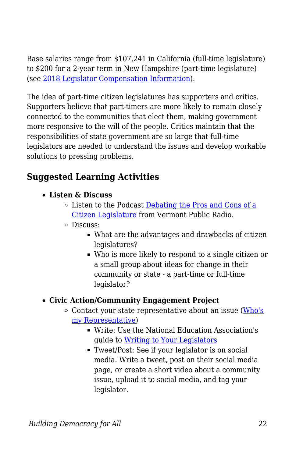Base salaries range from \$107,241 in California (full-time legislature) to \$200 for a 2-year term in New Hampshire (part-time legislature) (see [2018 Legislator Compensation Information\)](http://www.ncsl.org/research/about-state-legislatures/legislator-compensation-2018.aspx).

The idea of part-time citizen legislatures has supporters and critics. Supporters believe that part-timers are more likely to remain closely connected to the communities that elect them, making government more responsive to the will of the people. Critics maintain that the responsibilities of state government are so large that full-time legislators are needed to understand the issues and develop workable solutions to pressing problems.

## **Suggested Learning Activities**

- **Listen & Discuss** 
	- Listen to the Podcast [Debating the Pros and Cons of a](https://archive.vpr.org/vermont-edition/debating-the-pros-and-cons-of-a-citizen-legislature/) [Citizen Legislature](https://archive.vpr.org/vermont-edition/debating-the-pros-and-cons-of-a-citizen-legislature/) from Vermont Public Radio.
	- Discuss:
		- What are the advantages and drawbacks of citizen legislatures?
		- Who is more likely to respond to a single citizen or a small group about ideas for change in their community or state - a part-time or full-time legislator?

### **Civic Action/Community Engagement Project**

- $\circ$  Contact your state representative about an issue [\(Who's](https://openstates.org/find_your_legislator/) [my Representative\)](https://openstates.org/find_your_legislator/)
	- Write: Use the National Education Association's guide to [Writing to Your Legislators](http://www.nea.org/home/19657.htm)
	- Tweet/Post: See if your legislator is on social media. Write a tweet, post on their social media page, or create a short video about a community issue, upload it to social media, and tag your legislator.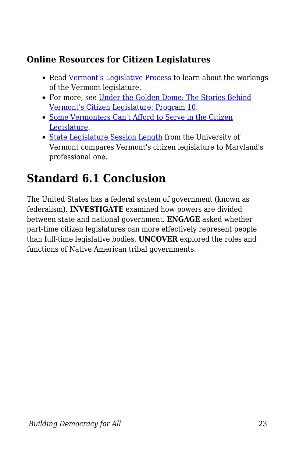### **Online Resources for Citizen Legislatures**

- Read [Vermont's Legislative Process](http://www.leg.state.vt.us/HouseClerk/Vermont%20Legislative%20Process.htm) to learn about the workings of the Vermont legislature.
- For more, see [Under the Golden Dome: The Stories Behind](http://www.vermontfolklifecenter.org/multimedia/radio/golden-dome/programs/prog10.htm) [Vermont's Citizen Legislature: Program 10](http://www.vermontfolklifecenter.org/multimedia/radio/golden-dome/programs/prog10.htm).
- [Some Vermonters Can't Afford to Serve in the Citizen](http://www.7dvt.com/2013some-vermonters-cant-afford-serve-citizen-legislature) [Legislature.](http://www.7dvt.com/2013some-vermonters-cant-afford-serve-citizen-legislature)
- [State Legislature Session Length](http://www.uvm.edu/~vlrs/PoliticalProcess/legislativesessionlength.pdf) from the University of Vermont compares Vermont's citizen legislature to Maryland's professional one.

## **Standard 6.1 Conclusion**

The United States has a federal system of government (known as federalism). **INVESTIGATE** examined how powers are divided between state and national government. **ENGAGE** asked whether part-time citizen legislatures can more effectively represent people than full-time legislative bodies. **UNCOVER** explored the roles and functions of Native American tribal governments.